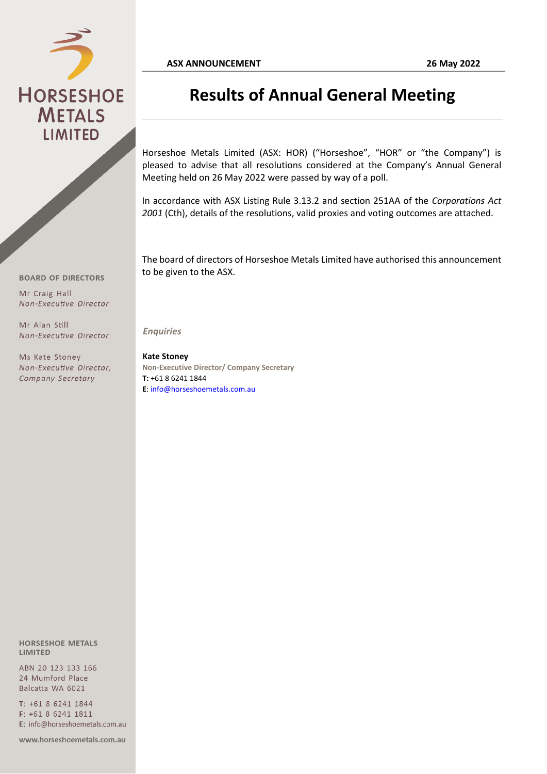

## **Results of Annual General Meeting**

Horseshoe Metals Limited (ASX: HOR) ("Horseshoe", "HOR" or "the Company") is pleased to advise that all resolutions considered at the Company's Annual General Meeting held on 26 May 2022 were passed by way of a poll.

In accordance with ASX Listing Rule 3.13.2 and section 251AA of the *Corporations Act 2001* (Cth), details of the resolutions, valid proxies and voting outcomes are attached.

The board of directors of Horseshoe Metals Limited have authorised this announcement to be given to the ASX.

Non-Executive Director

Mr Alan Still Non-Executive Director

**BOARD OF DIRECTORS** 

Mr Craig Hall

Ms Kate Stoney Non-Executive Director, Company Secretary

*Enquiries*

**Kate Stoney Non-Executive Director/ Company Secretary T:** +61 8 6241 1844 **E**: info@horseshoemetals.com.au

**HORSESHOE METALS LIMITED** 

ABN 20 123 133 166 24 Mumford Place Balcatta WA 6021

T: +61 8 6241 1844 F: +61 8 6241 1811 E: info@horseshoemetals.com.au

www.horseshoemetals.com.au